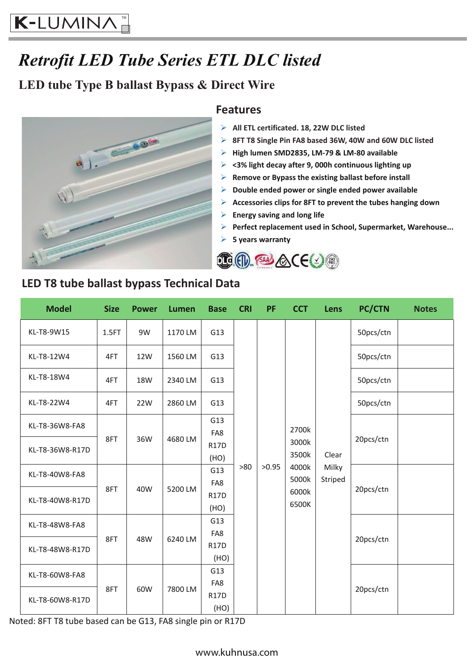# *Retrofit LED Tube Series ETL DLC listed*

### **LED tube Type B ballast Bypass & Direct Wire**



#### **Features**

- **All ETL certificated. 18, 22W DLC listed**
- **8FT T8 Single Pin FA8 based 36W, 40W and 60W DLC listed**
- **High lumen SMD2835, LM-79 & LM-80 available**
- **<3% light decay after 9, 000h continuous lighting up**
- **Remove or Bypass the existing ballast before install**
- **Double ended power or single ended power available**
- **Accessories clips for 8FT to prevent the tubes hanging down**
- **Energy saving and long life**
- **Perfect replacement used in School, Supermarket, Warehouse...**
- **5 years warranty**



| <b>Model</b>    | <b>Size</b> | <b>Power</b> | Lumen   | <b>Base</b>         | <b>CRI</b> | <b>PF</b> | <b>CCT</b>                                                  | Lens                      | <b>PC/CTN</b> | <b>Notes</b> |
|-----------------|-------------|--------------|---------|---------------------|------------|-----------|-------------------------------------------------------------|---------------------------|---------------|--------------|
| KL-T8-9W15      | 1.5FT       | 9W           | 1170 LM | G13                 | >80        | >0.95     | 2700k<br>3000k<br>3500k<br>4000k<br>5000k<br>6000k<br>6500K | Clear<br>Milky<br>Striped | 50pcs/ctn     |              |
| KL-T8-12W4      | 4FT         | 12W          | 1560 LM | G13                 |            |           |                                                             |                           | 50pcs/ctn     |              |
| KL-T8-18W4      | 4FT         | <b>18W</b>   | 2340 LM | G13                 |            |           |                                                             |                           | 50pcs/ctn     |              |
| KL-T8-22W4      | 4FT         | 22W          | 2860 LM | G13                 |            |           |                                                             |                           | 50pcs/ctn     |              |
| KL-T8-36W8-FA8  | 8FT         | 36W          | 4680 LM | G13<br>FA8          |            |           |                                                             |                           | 20pcs/ctn     |              |
| KL-T8-36W8-R17D |             |              |         | <b>R17D</b><br>(HO) |            |           |                                                             |                           |               |              |
| KL-T8-40W8-FA8  | 8FT         | 40W          | 5200 LM | G13<br>FA8          |            |           |                                                             |                           | 20pcs/ctn     |              |
| KL-T8-40W8-R17D |             |              |         | <b>R17D</b><br>(HO) |            |           |                                                             |                           |               |              |
| KL-T8-48W8-FA8  | 8FT         | 48W          | 6240 LM | G13                 |            |           |                                                             |                           | 20pcs/ctn     |              |
| KL-T8-48W8-R17D |             |              |         | FA8<br><b>R17D</b>  |            |           |                                                             |                           |               |              |
|                 |             |              |         | (HO)                |            |           |                                                             |                           |               |              |
| KL-T8-60W8-FA8  | 8FT         | 60W          | 7800 LM | G13                 |            |           |                                                             |                           | 20pcs/ctn     |              |
|                 |             |              |         | FA8                 |            |           |                                                             |                           |               |              |
| KL-T8-60W8-R17D |             |              |         | <b>R17D</b>         |            |           |                                                             |                           |               |              |
|                 |             |              |         | (HO)                |            |           |                                                             |                           |               |              |

**LED T8 tube ballast bypass Technical Data**

Noted: 8FT T8 tube based can be G13, FA8 single pin or R17D